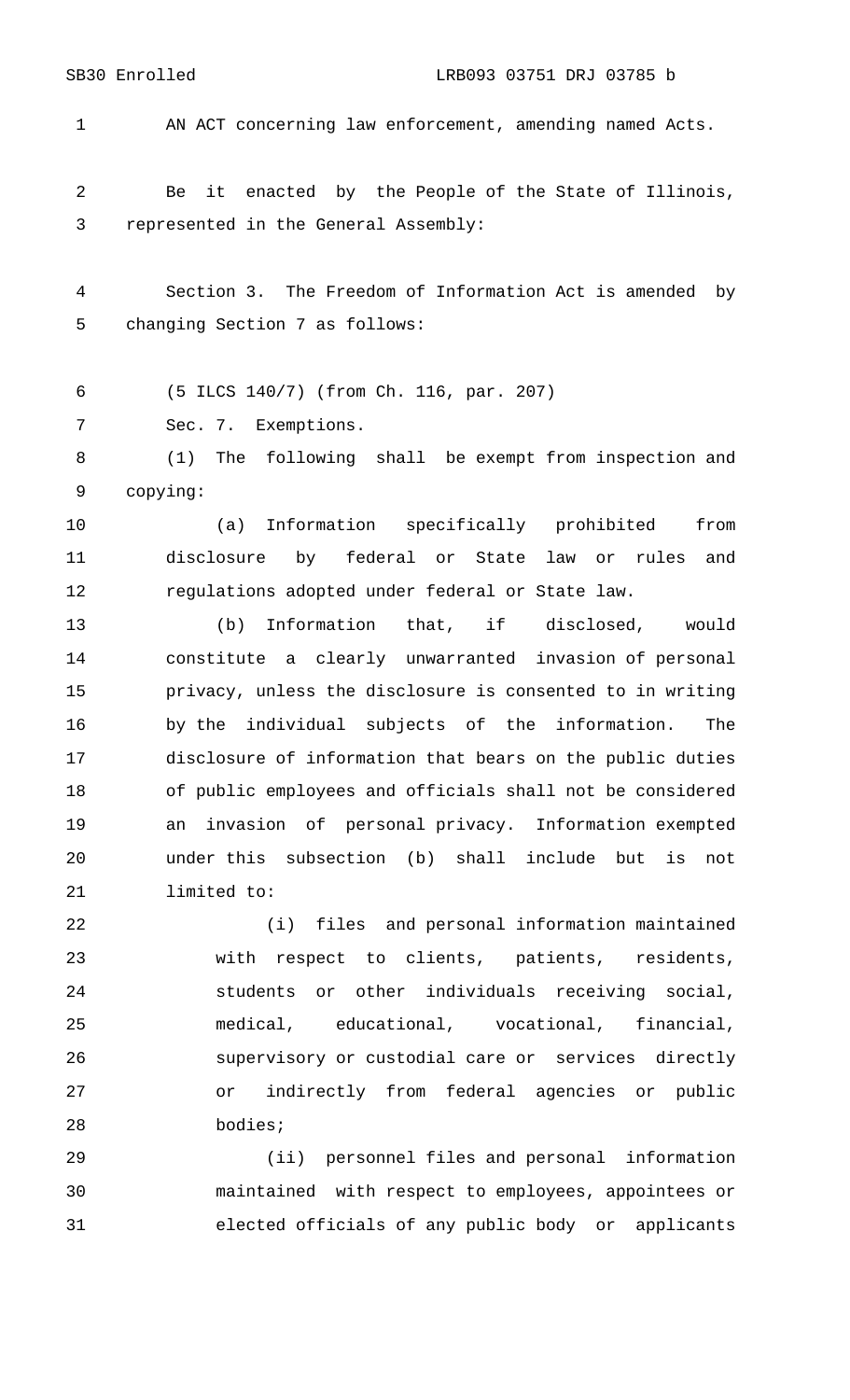AN ACT concerning law enforcement, amending named Acts.

 Be it enacted by the People of the State of Illinois, represented in the General Assembly:

 Section 3. The Freedom of Information Act is amended by changing Section 7 as follows:

(5 ILCS 140/7) (from Ch. 116, par. 207)

Sec. 7. Exemptions.

 (1) The following shall be exempt from inspection and copying:

 (a) Information specifically prohibited from disclosure by federal or State law or rules and regulations adopted under federal or State law.

 (b) Information that, if disclosed, would constitute a clearly unwarranted invasion of personal privacy, unless the disclosure is consented to in writing by the individual subjects of the information. The disclosure of information that bears on the public duties of public employees and officials shall not be considered an invasion of personal privacy. Information exempted under this subsection (b) shall include but is not limited to:

 (i) files and personal information maintained with respect to clients, patients, residents, students or other individuals receiving social, medical, educational, vocational, financial, supervisory or custodial care or services directly or indirectly from federal agencies or public bodies;

 (ii) personnel files and personal information maintained with respect to employees, appointees or elected officials of any public body or applicants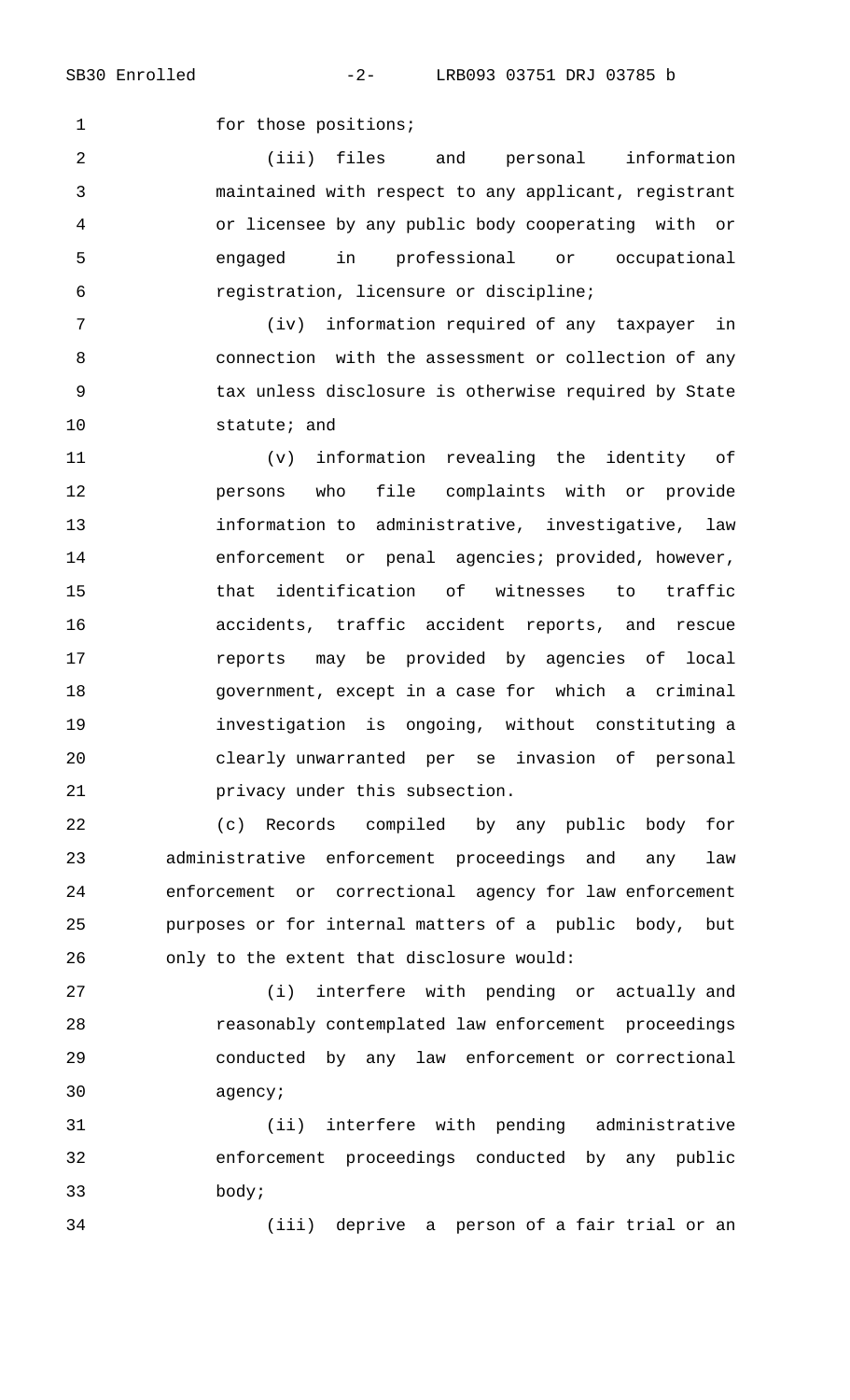1 for those positions;

 (iii) files and personal information maintained with respect to any applicant, registrant or licensee by any public body cooperating with or engaged in professional or occupational registration, licensure or discipline;

 (iv) information required of any taxpayer in connection with the assessment or collection of any tax unless disclosure is otherwise required by State statute; and

 (v) information revealing the identity of persons who file complaints with or provide information to administrative, investigative, law enforcement or penal agencies; provided, however, that identification of witnesses to traffic accidents, traffic accident reports, and rescue reports may be provided by agencies of local government, except in a case for which a criminal investigation is ongoing, without constituting a clearly unwarranted per se invasion of personal privacy under this subsection.

 (c) Records compiled by any public body for administrative enforcement proceedings and any law enforcement or correctional agency for law enforcement purposes or for internal matters of a public body, but only to the extent that disclosure would:

 (i) interfere with pending or actually and reasonably contemplated law enforcement proceedings conducted by any law enforcement or correctional agency;

 (ii) interfere with pending administrative enforcement proceedings conducted by any public body;

(iii) deprive a person of a fair trial or an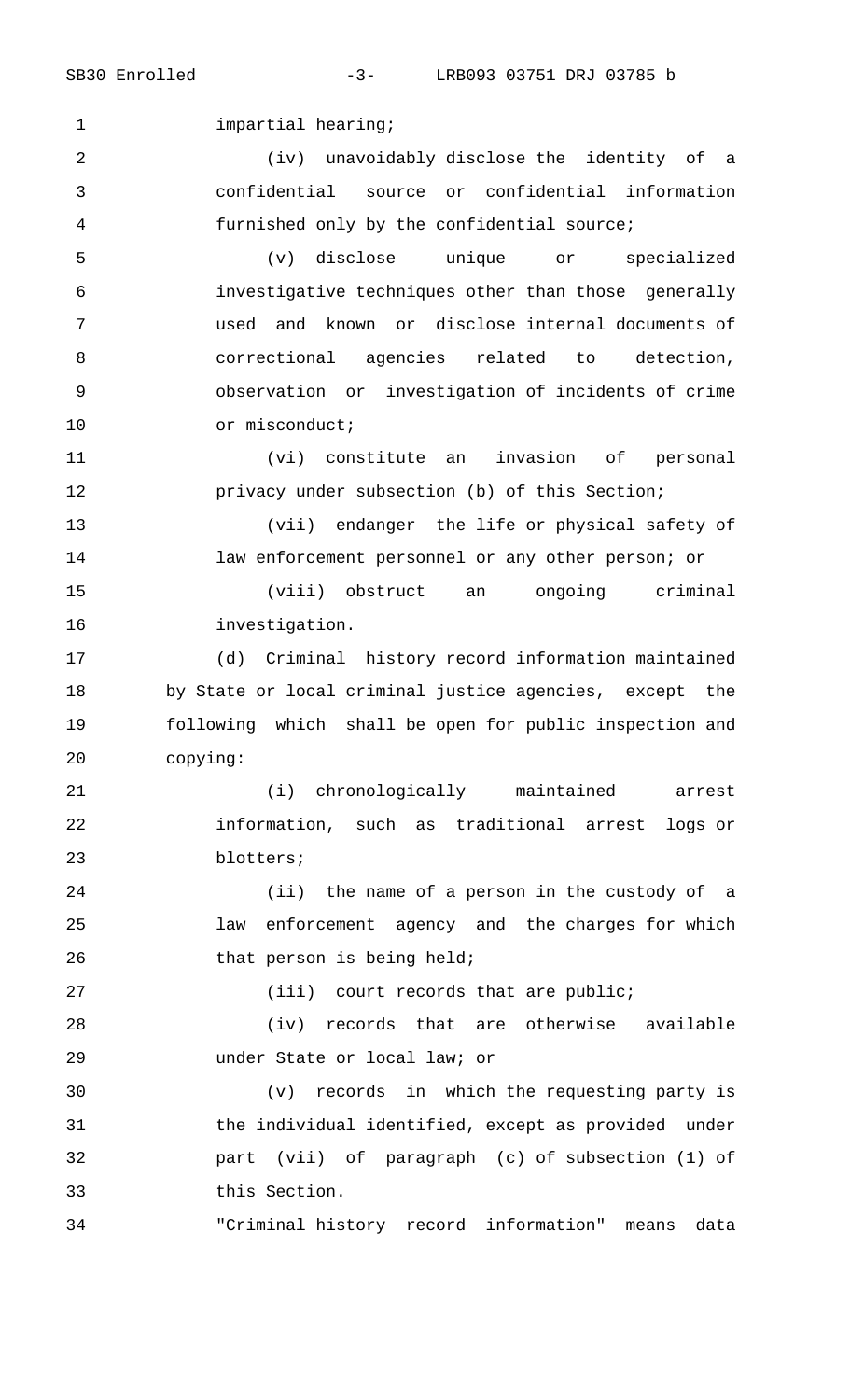1 impartial hearing;

 (iv) unavoidably disclose the identity of a confidential source or confidential information furnished only by the confidential source;

 (v) disclose unique or specialized investigative techniques other than those generally used and known or disclose internal documents of correctional agencies related to detection, observation or investigation of incidents of crime 10 or misconduct;

 (vi) constitute an invasion of personal **privacy under subsection (b) of this Section;** 

 (vii) endanger the life or physical safety of law enforcement personnel or any other person; or

 (viii) obstruct an ongoing criminal investigation.

 (d) Criminal history record information maintained by State or local criminal justice agencies, except the following which shall be open for public inspection and copying:

 (i) chronologically maintained arrest information, such as traditional arrest logs or blotters;

 (ii) the name of a person in the custody of a law enforcement agency and the charges for which 26 that person is being held;

27 (iii) court records that are public;

 (iv) records that are otherwise available under State or local law; or

 (v) records in which the requesting party is the individual identified, except as provided under part (vii) of paragraph (c) of subsection (1) of this Section.

"Criminal history record information" means data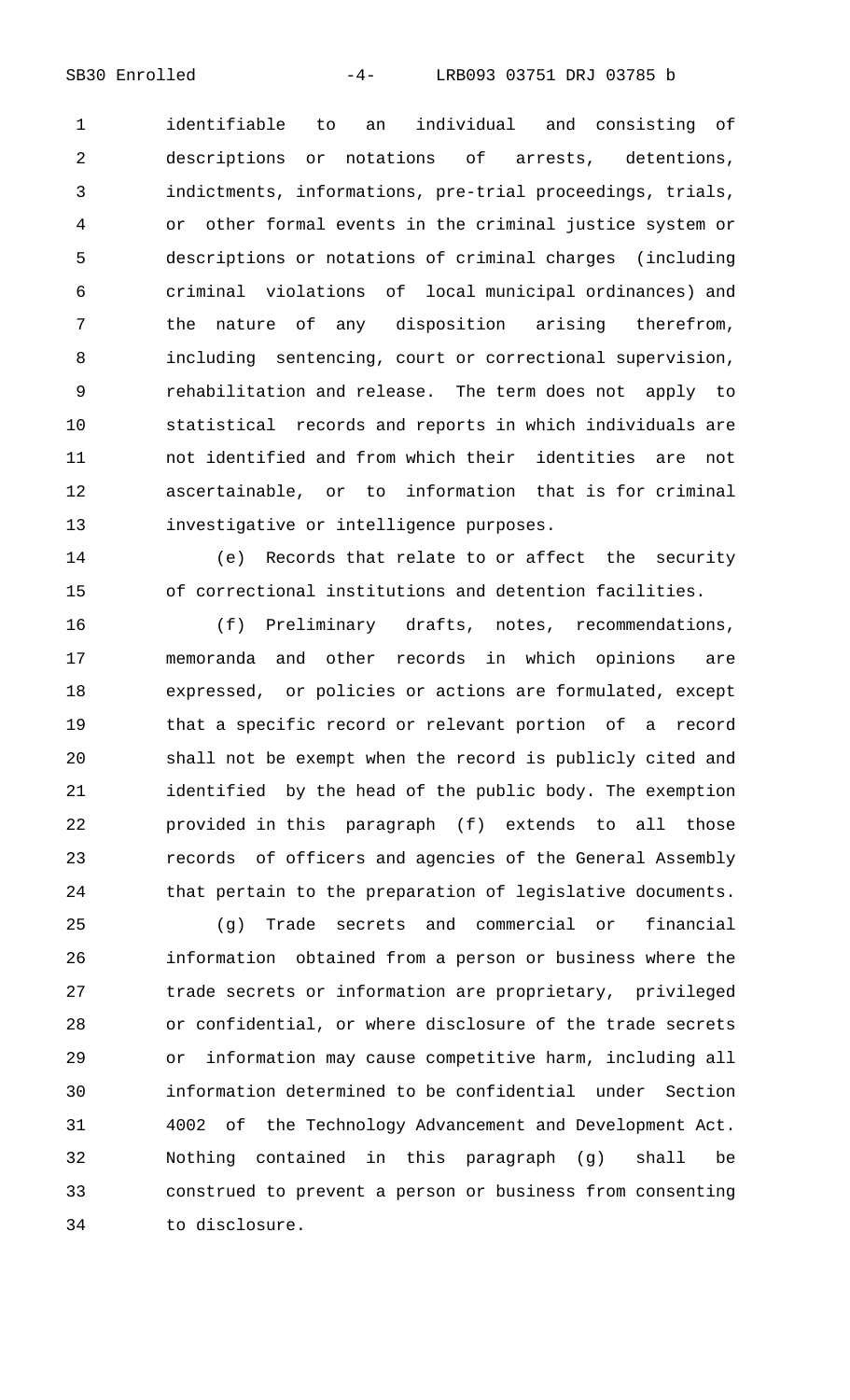identifiable to an individual and consisting of descriptions or notations of arrests, detentions, indictments, informations, pre-trial proceedings, trials, or other formal events in the criminal justice system or descriptions or notations of criminal charges (including criminal violations of local municipal ordinances) and the nature of any disposition arising therefrom, including sentencing, court or correctional supervision, rehabilitation and release. The term does not apply to statistical records and reports in which individuals are not identified and from which their identities are not ascertainable, or to information that is for criminal investigative or intelligence purposes.

 (e) Records that relate to or affect the security of correctional institutions and detention facilities.

 (f) Preliminary drafts, notes, recommendations, memoranda and other records in which opinions are expressed, or policies or actions are formulated, except that a specific record or relevant portion of a record shall not be exempt when the record is publicly cited and identified by the head of the public body. The exemption provided in this paragraph (f) extends to all those records of officers and agencies of the General Assembly that pertain to the preparation of legislative documents.

 (g) Trade secrets and commercial or financial information obtained from a person or business where the trade secrets or information are proprietary, privileged or confidential, or where disclosure of the trade secrets or information may cause competitive harm, including all information determined to be confidential under Section 4002 of the Technology Advancement and Development Act. Nothing contained in this paragraph (g) shall be construed to prevent a person or business from consenting to disclosure.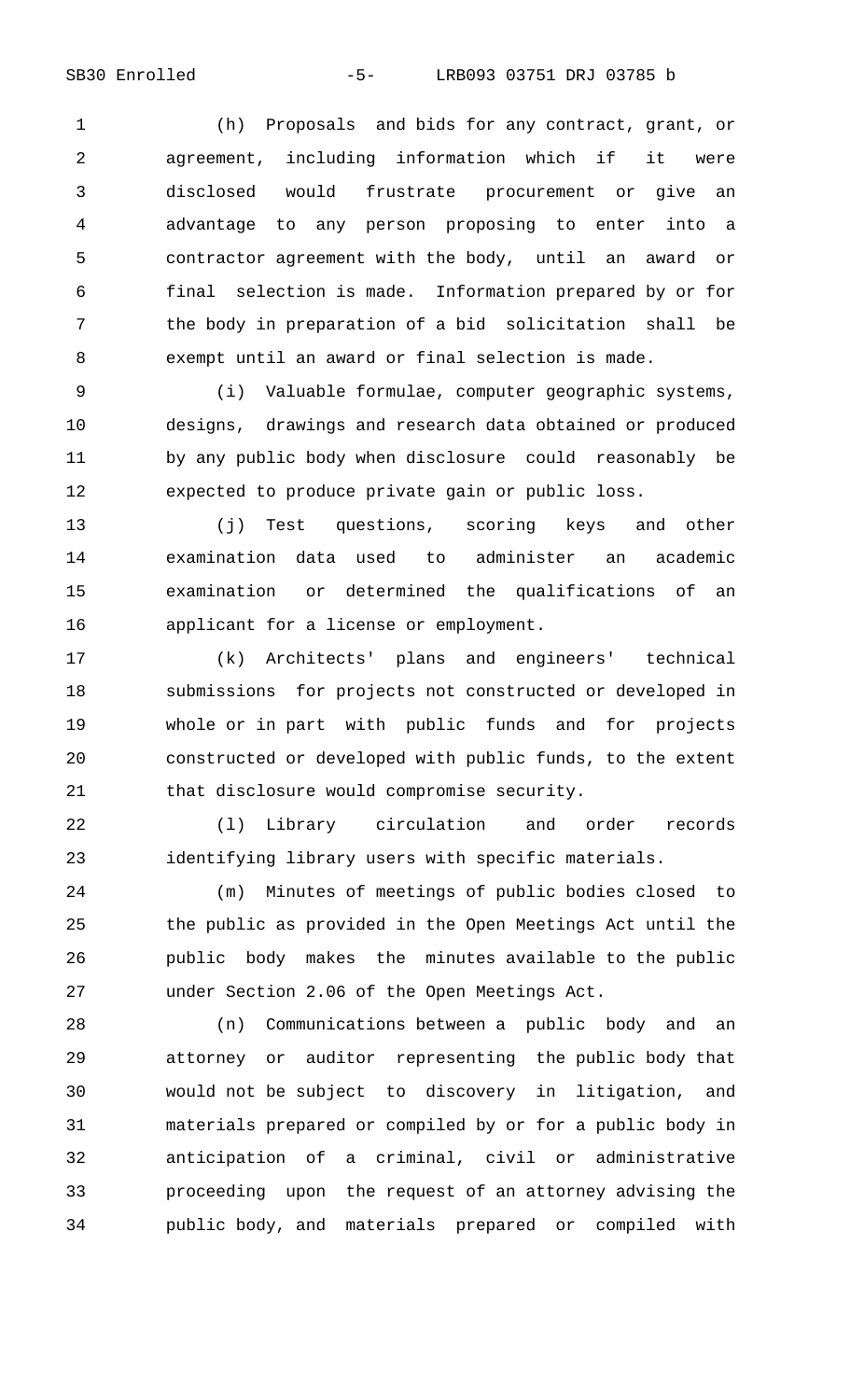(h) Proposals and bids for any contract, grant, or agreement, including information which if it were disclosed would frustrate procurement or give an advantage to any person proposing to enter into a contractor agreement with the body, until an award or final selection is made. Information prepared by or for the body in preparation of a bid solicitation shall be exempt until an award or final selection is made.

 (i) Valuable formulae, computer geographic systems, designs, drawings and research data obtained or produced by any public body when disclosure could reasonably be expected to produce private gain or public loss.

 (j) Test questions, scoring keys and other examination data used to administer an academic examination or determined the qualifications of an applicant for a license or employment.

 (k) Architects' plans and engineers' technical submissions for projects not constructed or developed in whole or in part with public funds and for projects constructed or developed with public funds, to the extent that disclosure would compromise security.

 (l) Library circulation and order records identifying library users with specific materials.

 (m) Minutes of meetings of public bodies closed to the public as provided in the Open Meetings Act until the public body makes the minutes available to the public under Section 2.06 of the Open Meetings Act.

 (n) Communications between a public body and an attorney or auditor representing the public body that would not be subject to discovery in litigation, and materials prepared or compiled by or for a public body in anticipation of a criminal, civil or administrative proceeding upon the request of an attorney advising the public body, and materials prepared or compiled with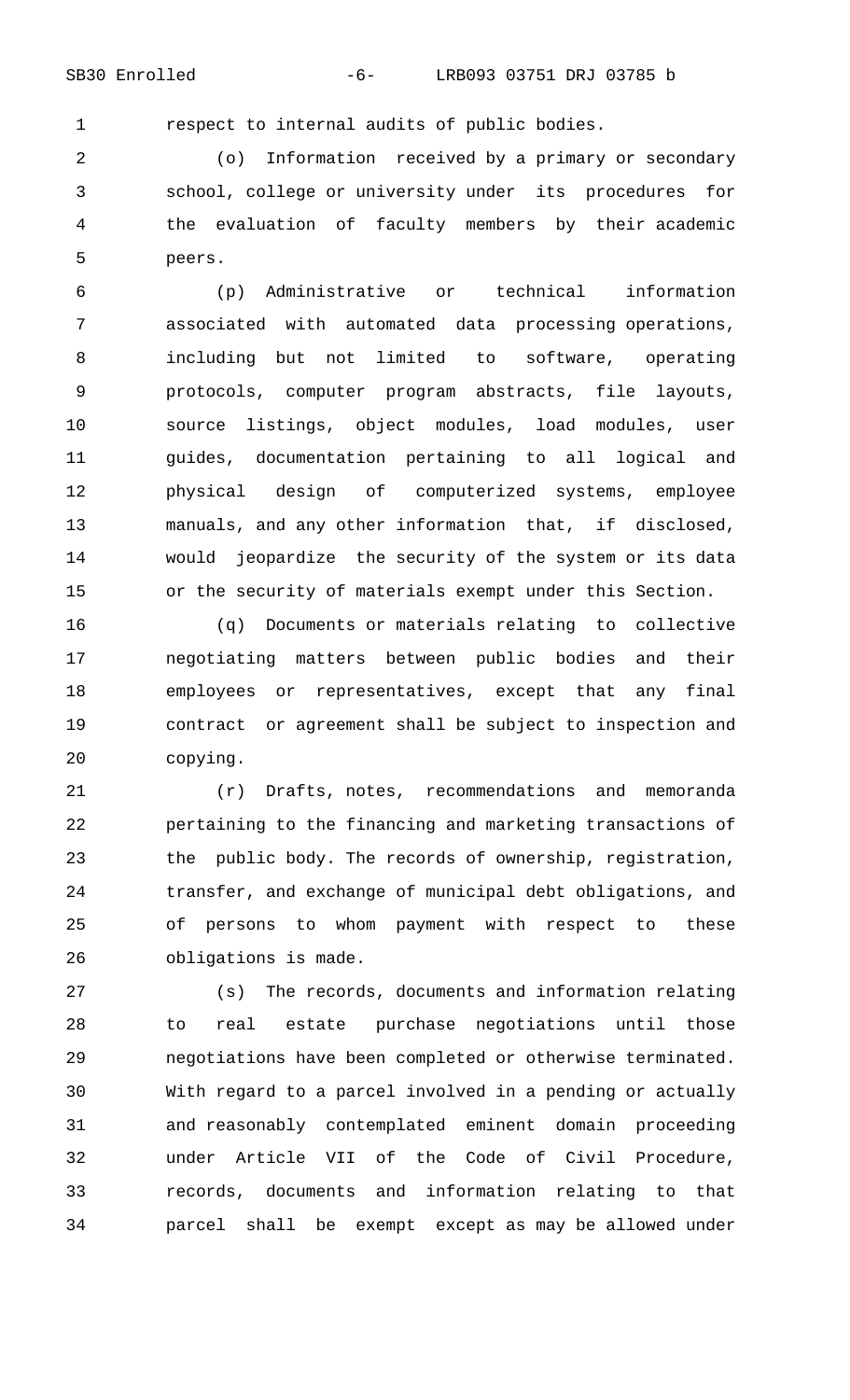respect to internal audits of public bodies.

 (o) Information received by a primary or secondary school, college or university under its procedures for the evaluation of faculty members by their academic peers.

 (p) Administrative or technical information associated with automated data processing operations, including but not limited to software, operating protocols, computer program abstracts, file layouts, source listings, object modules, load modules, user guides, documentation pertaining to all logical and physical design of computerized systems, employee manuals, and any other information that, if disclosed, would jeopardize the security of the system or its data or the security of materials exempt under this Section.

 (q) Documents or materials relating to collective negotiating matters between public bodies and their employees or representatives, except that any final contract or agreement shall be subject to inspection and copying.

 (r) Drafts, notes, recommendations and memoranda pertaining to the financing and marketing transactions of the public body. The records of ownership, registration, transfer, and exchange of municipal debt obligations, and of persons to whom payment with respect to these obligations is made.

 (s) The records, documents and information relating to real estate purchase negotiations until those negotiations have been completed or otherwise terminated. With regard to a parcel involved in a pending or actually and reasonably contemplated eminent domain proceeding under Article VII of the Code of Civil Procedure, records, documents and information relating to that parcel shall be exempt except as may be allowed under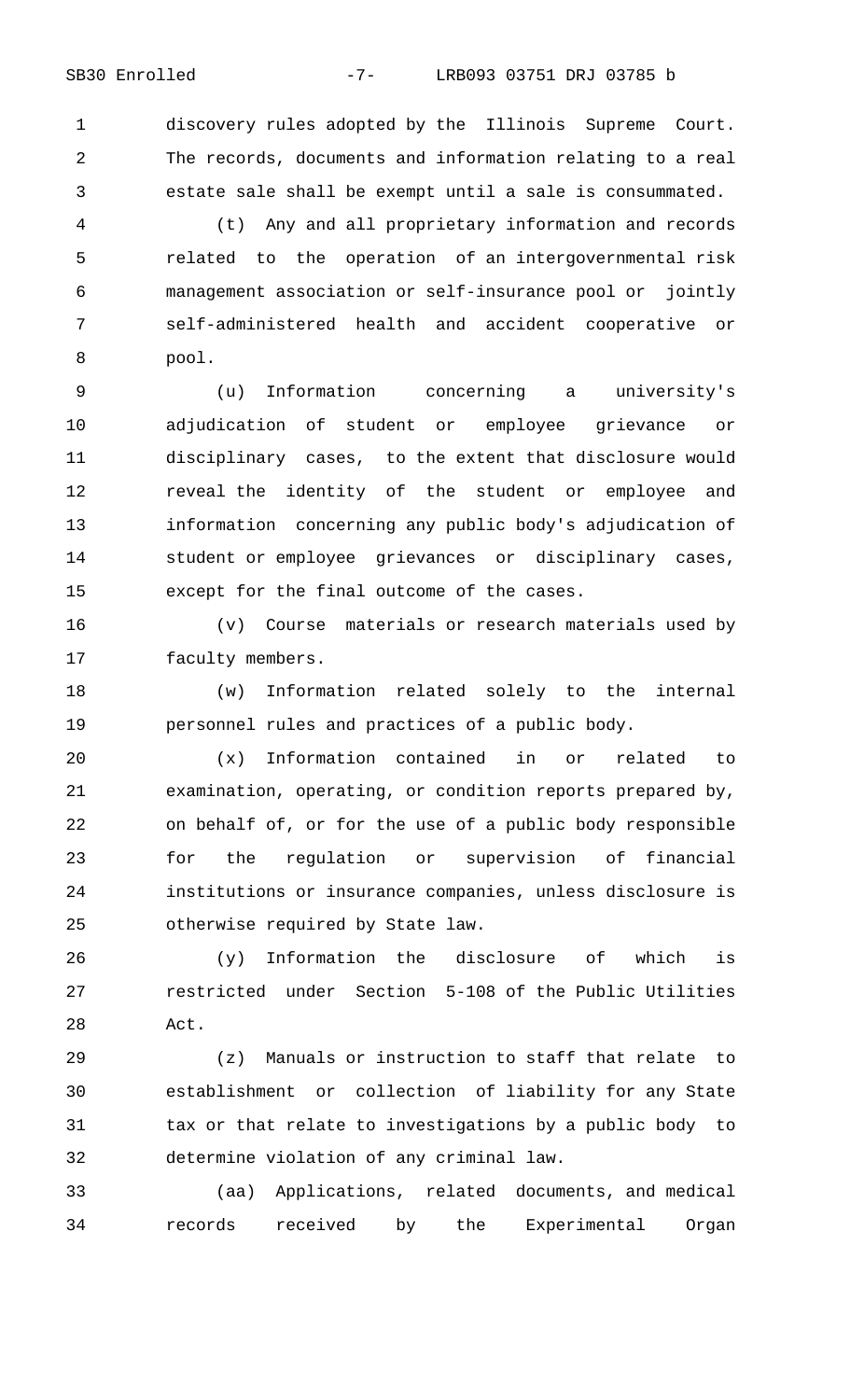discovery rules adopted by the Illinois Supreme Court. The records, documents and information relating to a real estate sale shall be exempt until a sale is consummated.

 (t) Any and all proprietary information and records related to the operation of an intergovernmental risk management association or self-insurance pool or jointly self-administered health and accident cooperative or pool.

 (u) Information concerning a university's adjudication of student or employee grievance or disciplinary cases, to the extent that disclosure would reveal the identity of the student or employee and information concerning any public body's adjudication of student or employee grievances or disciplinary cases, except for the final outcome of the cases.

 (v) Course materials or research materials used by faculty members.

 (w) Information related solely to the internal personnel rules and practices of a public body.

 (x) Information contained in or related to examination, operating, or condition reports prepared by, on behalf of, or for the use of a public body responsible for the regulation or supervision of financial institutions or insurance companies, unless disclosure is otherwise required by State law.

 (y) Information the disclosure of which is restricted under Section 5-108 of the Public Utilities Act.

 (z) Manuals or instruction to staff that relate to establishment or collection of liability for any State tax or that relate to investigations by a public body to determine violation of any criminal law.

 (aa) Applications, related documents, and medical records received by the Experimental Organ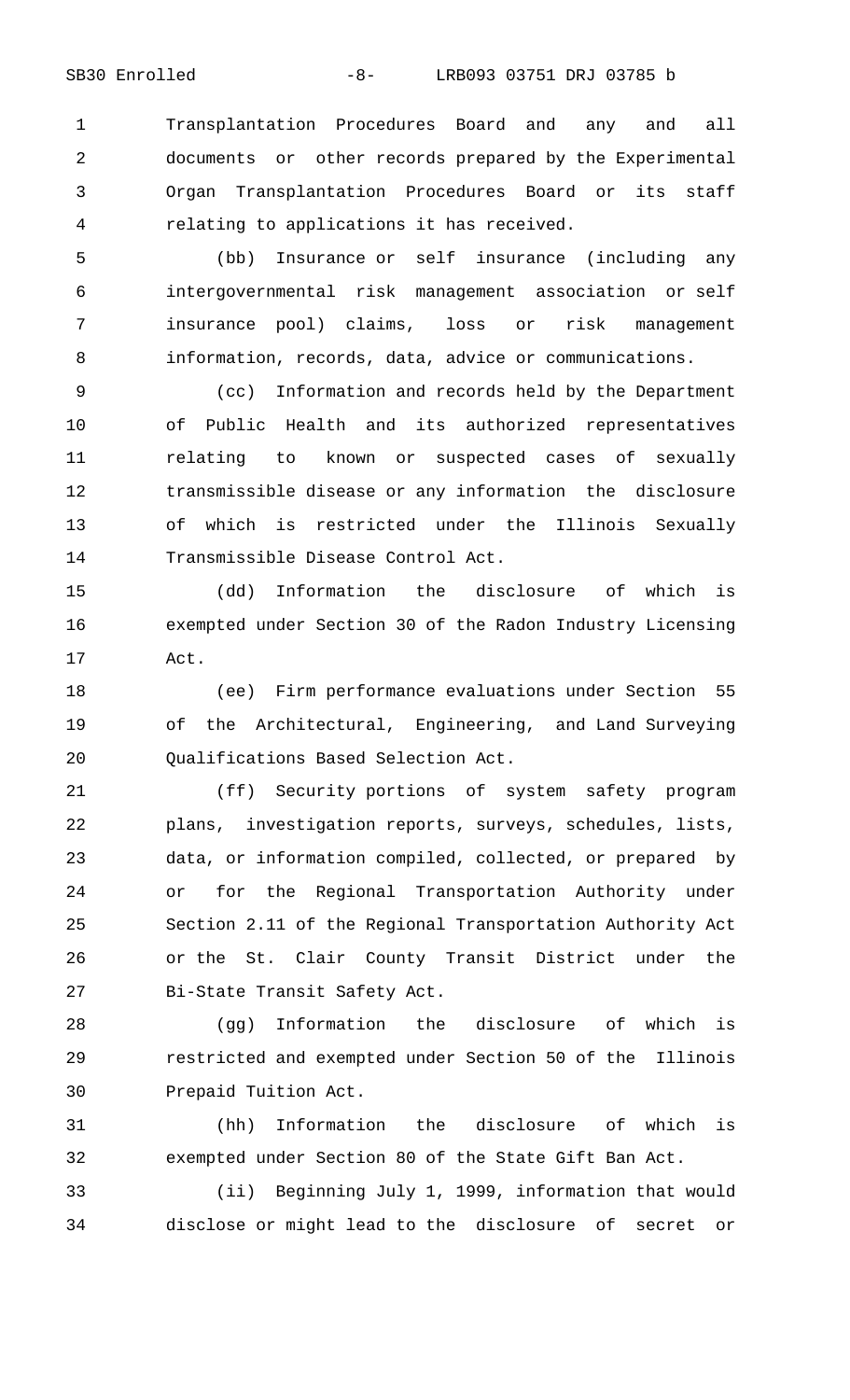Transplantation Procedures Board and any and all documents or other records prepared by the Experimental Organ Transplantation Procedures Board or its staff relating to applications it has received.

 (bb) Insurance or self insurance (including any intergovernmental risk management association or self insurance pool) claims, loss or risk management information, records, data, advice or communications.

 (cc) Information and records held by the Department of Public Health and its authorized representatives relating to known or suspected cases of sexually transmissible disease or any information the disclosure of which is restricted under the Illinois Sexually Transmissible Disease Control Act.

 (dd) Information the disclosure of which is exempted under Section 30 of the Radon Industry Licensing Act.

 (ee) Firm performance evaluations under Section 55 of the Architectural, Engineering, and Land Surveying Qualifications Based Selection Act.

 (ff) Security portions of system safety program plans, investigation reports, surveys, schedules, lists, data, or information compiled, collected, or prepared by or for the Regional Transportation Authority under Section 2.11 of the Regional Transportation Authority Act or the St. Clair County Transit District under the Bi-State Transit Safety Act.

 (gg) Information the disclosure of which is restricted and exempted under Section 50 of the Illinois Prepaid Tuition Act.

 (hh) Information the disclosure of which is exempted under Section 80 of the State Gift Ban Act.

 (ii) Beginning July 1, 1999, information that would disclose or might lead to the disclosure of secret or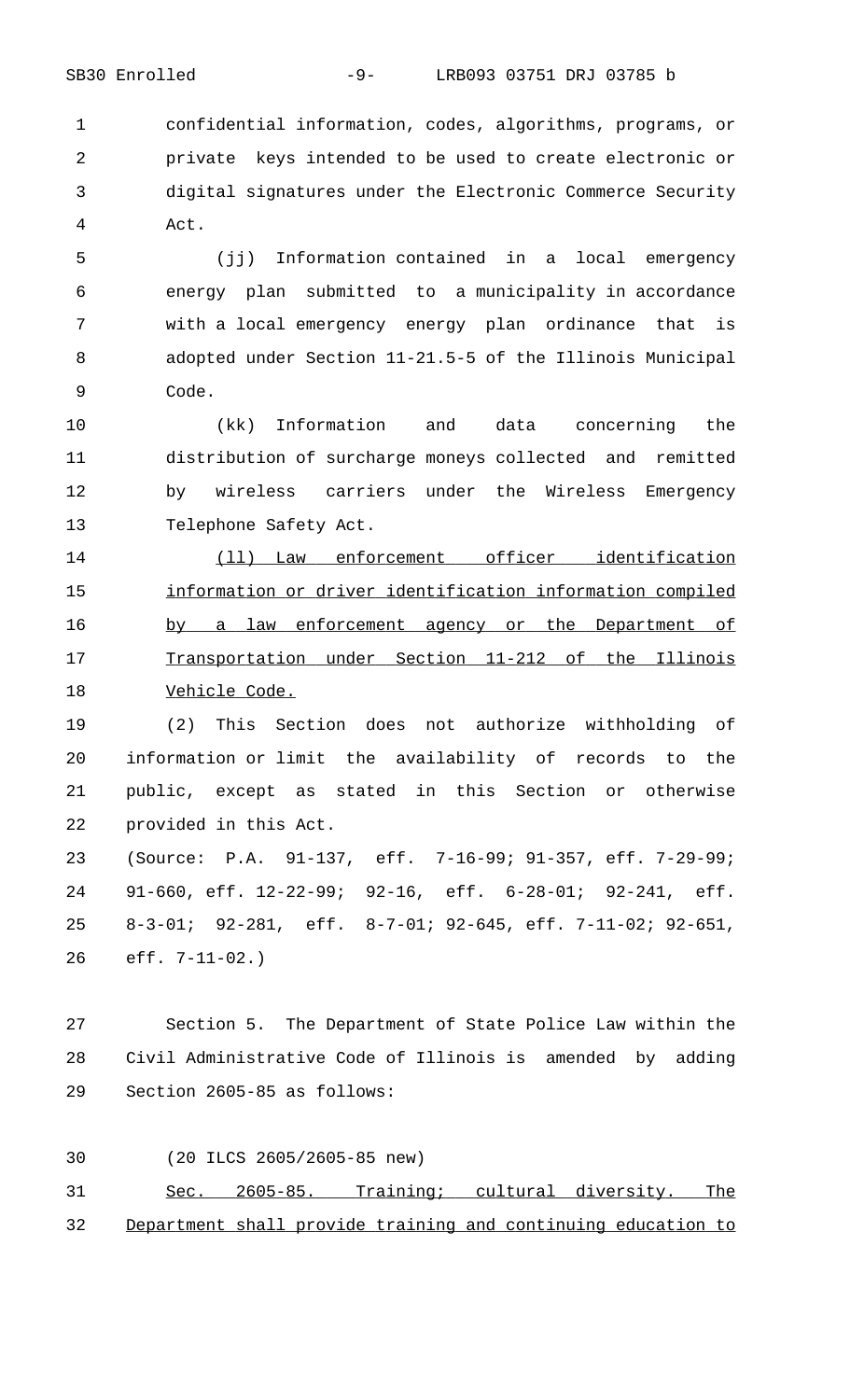confidential information, codes, algorithms, programs, or private keys intended to be used to create electronic or digital signatures under the Electronic Commerce Security Act.

 (jj) Information contained in a local emergency energy plan submitted to a municipality in accordance with a local emergency energy plan ordinance that is adopted under Section 11-21.5-5 of the Illinois Municipal Code.

 (kk) Information and data concerning the distribution of surcharge moneys collected and remitted by wireless carriers under the Wireless Emergency Telephone Safety Act.

14 (11) Law enforcement officer identification 15 information or driver identification information compiled 16 by a law enforcement agency or the Department of 17 Transportation under Section 11-212 of the Illinois 18 Vehicle Code.

 (2) This Section does not authorize withholding of information or limit the availability of records to the public, except as stated in this Section or otherwise provided in this Act.

 (Source: P.A. 91-137, eff. 7-16-99; 91-357, eff. 7-29-99; 91-660, eff. 12-22-99; 92-16, eff. 6-28-01; 92-241, eff. 8-3-01; 92-281, eff. 8-7-01; 92-645, eff. 7-11-02; 92-651, eff. 7-11-02.)

 Section 5. The Department of State Police Law within the Civil Administrative Code of Illinois is amended by adding Section 2605-85 as follows:

(20 ILCS 2605/2605-85 new)

31 Sec. 2605-85. Training; cultural diversity. The 32 Department shall provide training and continuing education to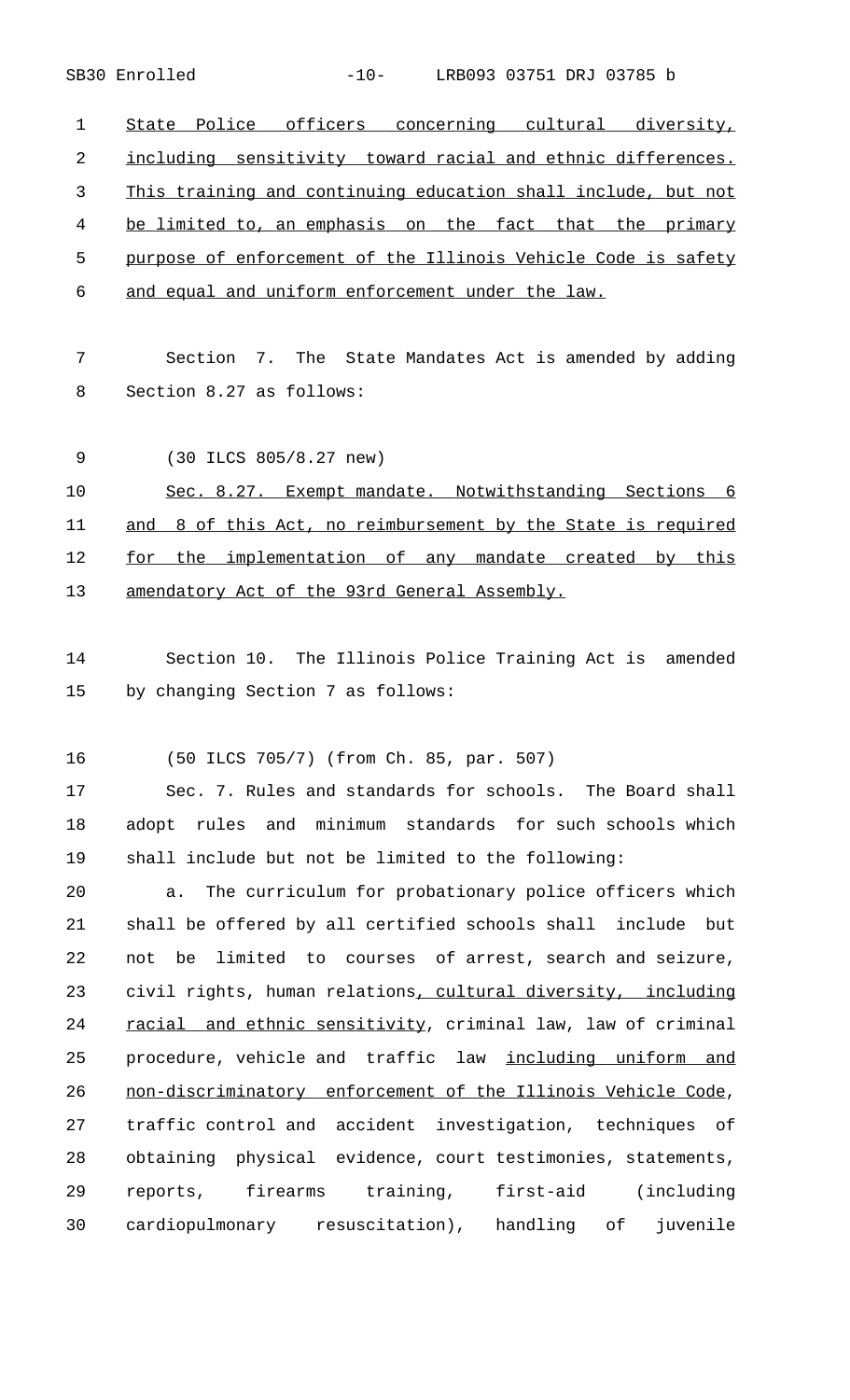SB30 Enrolled -10- LRB093 03751 DRJ 03785 b

1 State Police officers concerning cultural diversity, 2 including sensitivity toward racial and ethnic differences. 3 This training and continuing education shall include, but not 4 be limited to, an emphasis on the fact that the primary 5 purpose of enforcement of the Illinois Vehicle Code is safety 6 and equal and uniform enforcement under the law.

7 Section 7. The State Mandates Act is amended by adding 8 Section 8.27 as follows:

9 (30 ILCS 805/8.27 new) 10 Sec. 8.27. Exempt mandate. Notwithstanding Sections 6 11 and 8 of this Act, no reimbursement by the State is required 12 for the implementation of any mandate created by this 13 amendatory Act of the 93rd General Assembly.

14 Section 10. The Illinois Police Training Act is amended 15 by changing Section 7 as follows:

16 (50 ILCS 705/7) (from Ch. 85, par. 507)

17 Sec. 7. Rules and standards for schools. The Board shall 18 adopt rules and minimum standards for such schools which 19 shall include but not be limited to the following:

 a. The curriculum for probationary police officers which shall be offered by all certified schools shall include but not be limited to courses of arrest, search and seizure, 23 civil rights, human relations, cultural diversity, including 24 racial and ethnic sensitivity, criminal law, law of criminal 25 procedure, vehicle and traffic law including uniform and 26 non-discriminatory enforcement of the Illinois Vehicle Code, traffic control and accident investigation, techniques of obtaining physical evidence, court testimonies, statements, reports, firearms training, first-aid (including cardiopulmonary resuscitation), handling of juvenile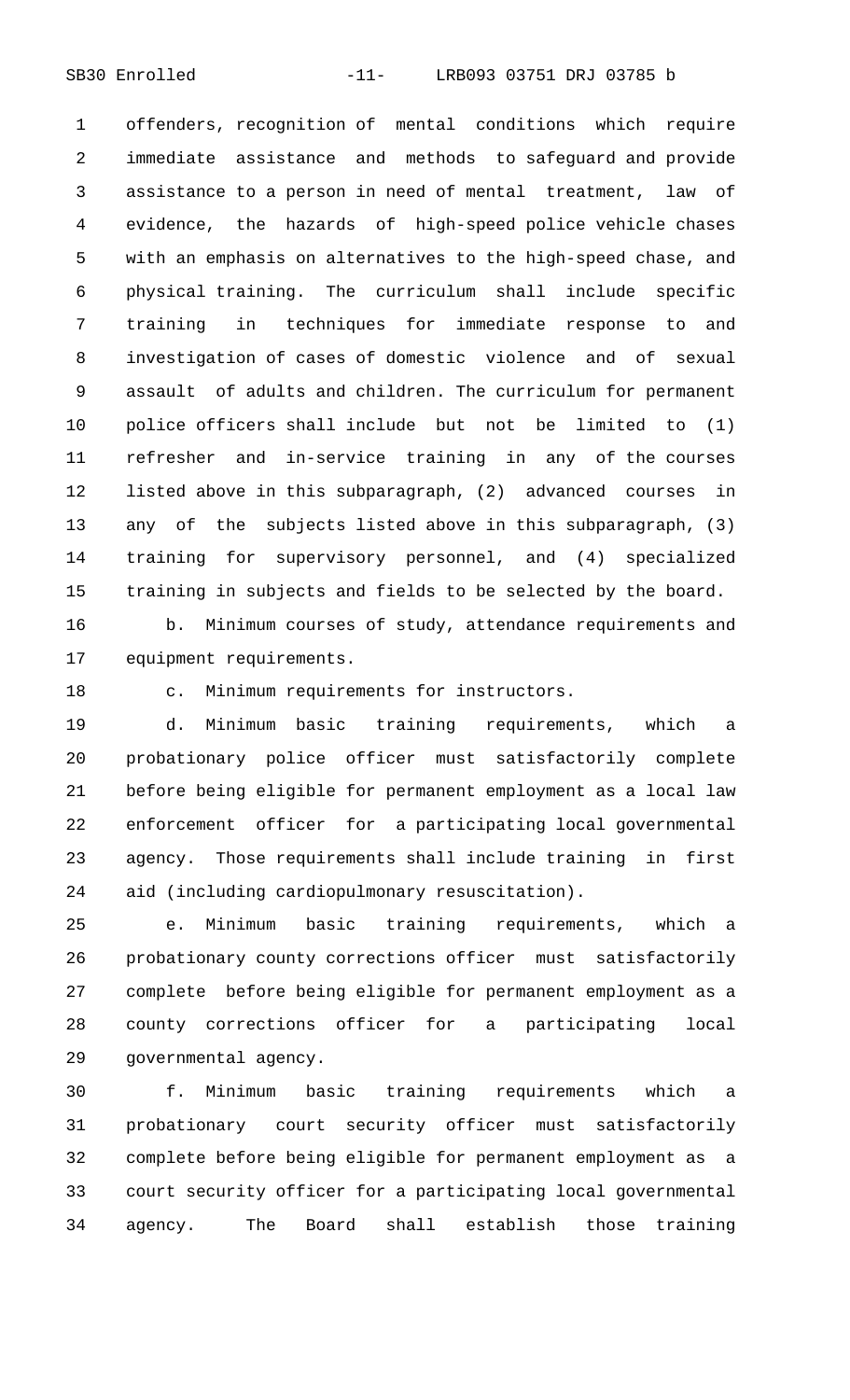SB30 Enrolled -11- LRB093 03751 DRJ 03785 b

 offenders, recognition of mental conditions which require immediate assistance and methods to safeguard and provide assistance to a person in need of mental treatment, law of evidence, the hazards of high-speed police vehicle chases with an emphasis on alternatives to the high-speed chase, and physical training. The curriculum shall include specific training in techniques for immediate response to and investigation of cases of domestic violence and of sexual assault of adults and children. The curriculum for permanent police officers shall include but not be limited to (1) refresher and in-service training in any of the courses listed above in this subparagraph, (2) advanced courses in any of the subjects listed above in this subparagraph, (3) training for supervisory personnel, and (4) specialized training in subjects and fields to be selected by the board.

 b. Minimum courses of study, attendance requirements and equipment requirements.

c. Minimum requirements for instructors.

 d. Minimum basic training requirements, which a probationary police officer must satisfactorily complete before being eligible for permanent employment as a local law enforcement officer for a participating local governmental agency. Those requirements shall include training in first aid (including cardiopulmonary resuscitation).

 e. Minimum basic training requirements, which a probationary county corrections officer must satisfactorily complete before being eligible for permanent employment as a county corrections officer for a participating local governmental agency.

 f. Minimum basic training requirements which a probationary court security officer must satisfactorily complete before being eligible for permanent employment as a court security officer for a participating local governmental agency. The Board shall establish those training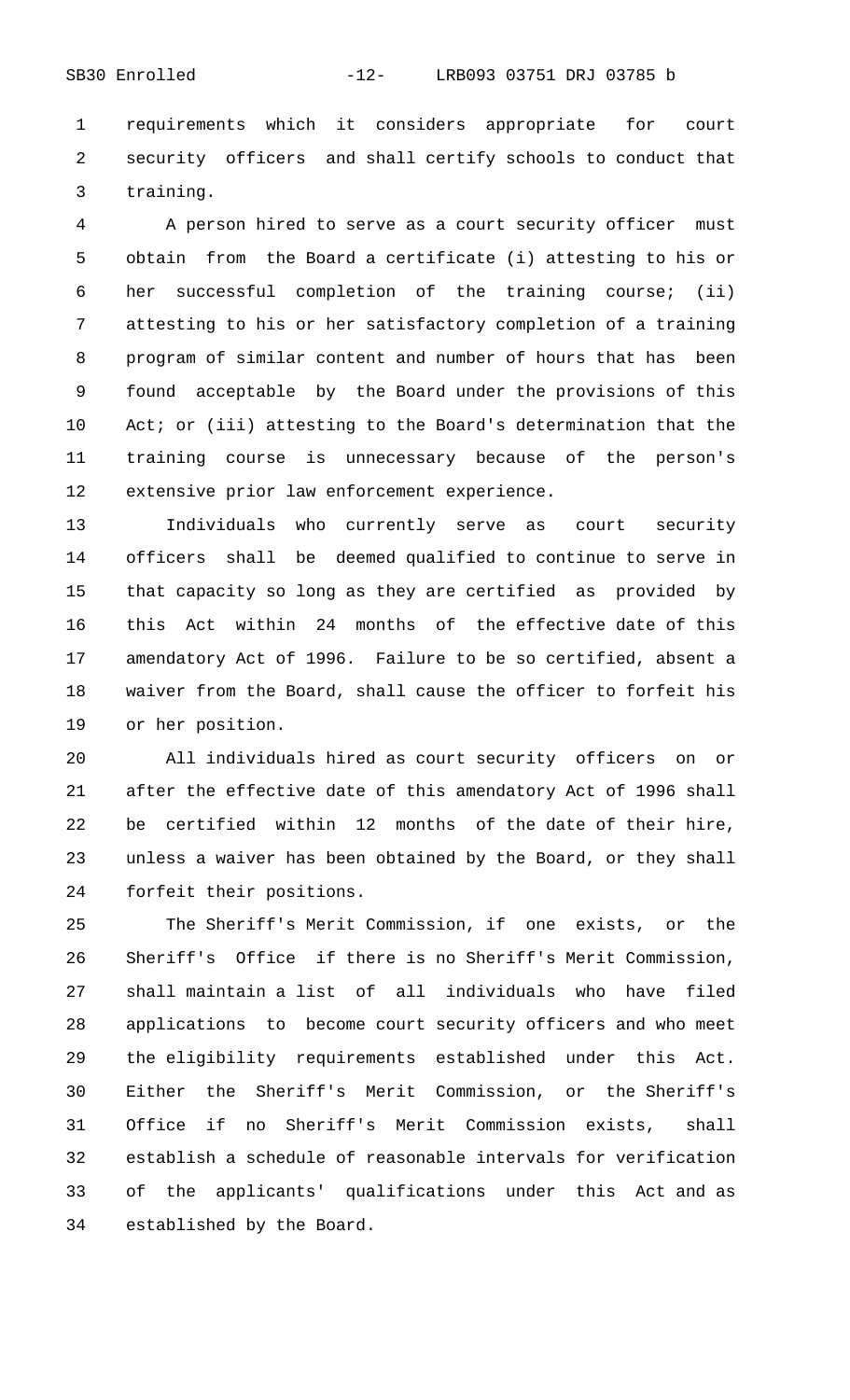requirements which it considers appropriate for court security officers and shall certify schools to conduct that training.

 A person hired to serve as a court security officer must obtain from the Board a certificate (i) attesting to his or her successful completion of the training course; (ii) attesting to his or her satisfactory completion of a training program of similar content and number of hours that has been found acceptable by the Board under the provisions of this Act; or (iii) attesting to the Board's determination that the training course is unnecessary because of the person's extensive prior law enforcement experience.

 Individuals who currently serve as court security officers shall be deemed qualified to continue to serve in that capacity so long as they are certified as provided by this Act within 24 months of the effective date of this amendatory Act of 1996. Failure to be so certified, absent a waiver from the Board, shall cause the officer to forfeit his or her position.

 All individuals hired as court security officers on or after the effective date of this amendatory Act of 1996 shall be certified within 12 months of the date of their hire, unless a waiver has been obtained by the Board, or they shall forfeit their positions.

 The Sheriff's Merit Commission, if one exists, or the Sheriff's Office if there is no Sheriff's Merit Commission, shall maintain a list of all individuals who have filed applications to become court security officers and who meet the eligibility requirements established under this Act. Either the Sheriff's Merit Commission, or the Sheriff's Office if no Sheriff's Merit Commission exists, shall establish a schedule of reasonable intervals for verification of the applicants' qualifications under this Act and as established by the Board.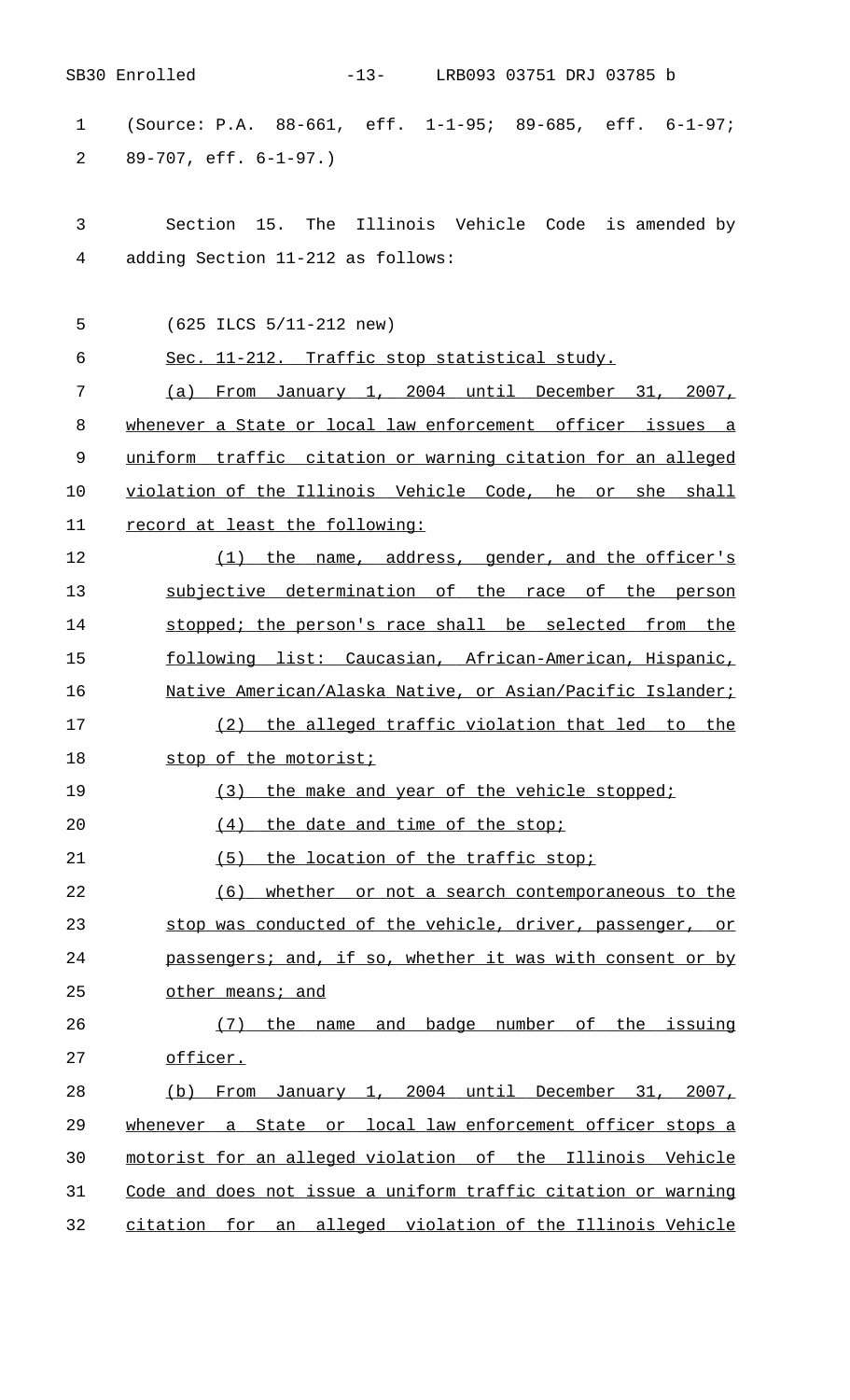|                | SB30 Enrolled<br>-13- LRB093 03751 DRJ 03785 b                |
|----------------|---------------------------------------------------------------|
| $\mathbf 1$    | (Source: P.A. 88-661, eff. 1-1-95; 89-685, eff. 6-1-97;       |
| 2              | $89-707$ , eff. $6-1-97$ .)                                   |
| 3              | Section 15. The Illinois Vehicle Code is amended by           |
| $\overline{4}$ | adding Section 11-212 as follows:                             |
| 5              | $(625$ ILCS $5/11-212$ new)                                   |
| 6              | Sec. 11-212. Traffic stop statistical study.                  |
| 7              | (a) From January 1, 2004 until December 31, 2007,             |
| 8              | whenever a State or local law enforcement officer issues a    |
| 9              | uniform traffic citation or warning citation for an alleged   |
| 10             | violation of the Illinois Vehicle Code, he or she shall       |
| 11             | record at least the following:                                |
| 12             | (1) the name, address, gender, and the officer's              |
| 13             | subjective determination of the race of the person            |
| 14             | stopped; the person's race shall be selected from the         |
| 15             | following list: Caucasian, African-American, Hispanic,        |
| 16             | Native American/Alaska Native, or Asian/Pacific Islander;     |
| 17             | (2) the alleged traffic violation that led to the             |
| 18             | stop of the motorist;                                         |
| 19             | (3)<br>the make and year of the vehicle stopped;              |
| 20             | (4)<br>the date and time of the stop;                         |
| 21             | (5)<br>the location of the traffic stop;                      |
| 22             | (6)<br>whether or not a search contemporaneous to the         |
| 23             | stop was conducted of the vehicle, driver, passenger, or      |
| 24             | passengers; and, if so, whether it was with consent or by     |
| 25             | other means; and                                              |
| 26             | name and badge number of the issuing<br>the<br>(7)            |
| 27             | officer.                                                      |
| 28             | From January 1, 2004 until December 31, 2007,<br>(b)          |
| 29             | whenever a State or local law enforcement officer stops a     |
| 30             | motorist for an alleged violation of the Illinois Vehicle     |
| 31             | Code and does not issue a uniform traffic citation or warning |
| 32             | citation for an alleged violation of the Illinois Vehicle     |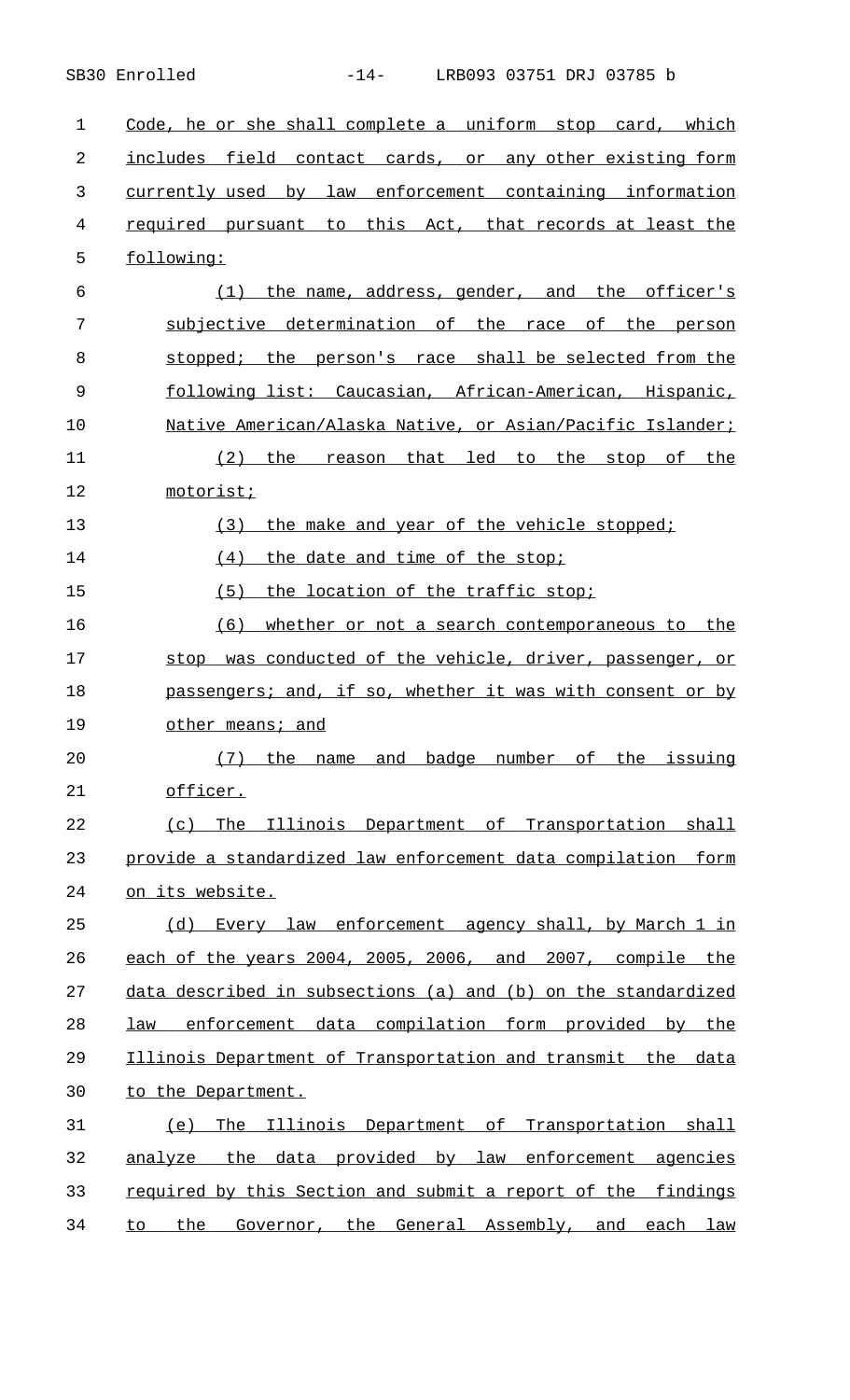| $\mathbf{1}$   | Code, he or she shall complete a uniform stop card, which     |
|----------------|---------------------------------------------------------------|
| 2              | includes field contact cards, or any other existing form      |
| 3              | currently used by law enforcement containing information      |
| $\overline{4}$ | required pursuant to this Act, that records at least the      |
| 5              | following:                                                    |
| 6              | (1) the name, address, gender, and the officer's              |
| 7              | subjective determination of the race of the person            |
| 8              | stopped; the person's race shall be selected from the         |
| 9              | following list: Caucasian, African-American, Hispanic,        |
| 10             | Native American/Alaska Native, or Asian/Pacific Islander;     |
| 11             | reason that led to the stop of the<br>$(2)$ the               |
| 12             | motorist;                                                     |
| 13             | (3) the make and year of the vehicle stopped;                 |
| 14             | the date and time of the stop;<br>(4)                         |
| 15             | (5)<br>the location of the traffic stop;                      |
| 16             | (6)<br>whether or not a search contemporaneous to the         |
| 17             | stop was conducted of the vehicle, driver, passenger, or      |
| 18             | passengers; and, if so, whether it was with consent or by     |
| 19             | other means; and                                              |
| 20             | (7)<br>the<br>name and badge number of the issuing            |
| 21             | officer.                                                      |
| 22             | The Illinois Department of Transportation shall<br>(C)        |
| 23             | provide a standardized law enforcement data compilation form  |
| 24             | on its website.                                               |
| 25             | (d) Every law enforcement agency shall, by March 1 in         |
| 26             | each of the years 2004, 2005, 2006, and 2007, compile the     |
| 27             | data described in subsections (a) and (b) on the standardized |
| 28             | law enforcement data compilation form provided by the         |
| 29             | Illinois Department of Transportation and transmit the data   |
| 30             | to the Department.                                            |
| 31             | The Illinois Department of Transportation shall<br>(e)        |
| 32             | analyze the data provided by law enforcement agencies         |
| 33             | required by this Section and submit a report of the findings  |
| 34             | to the Governor, the General Assembly, and each law           |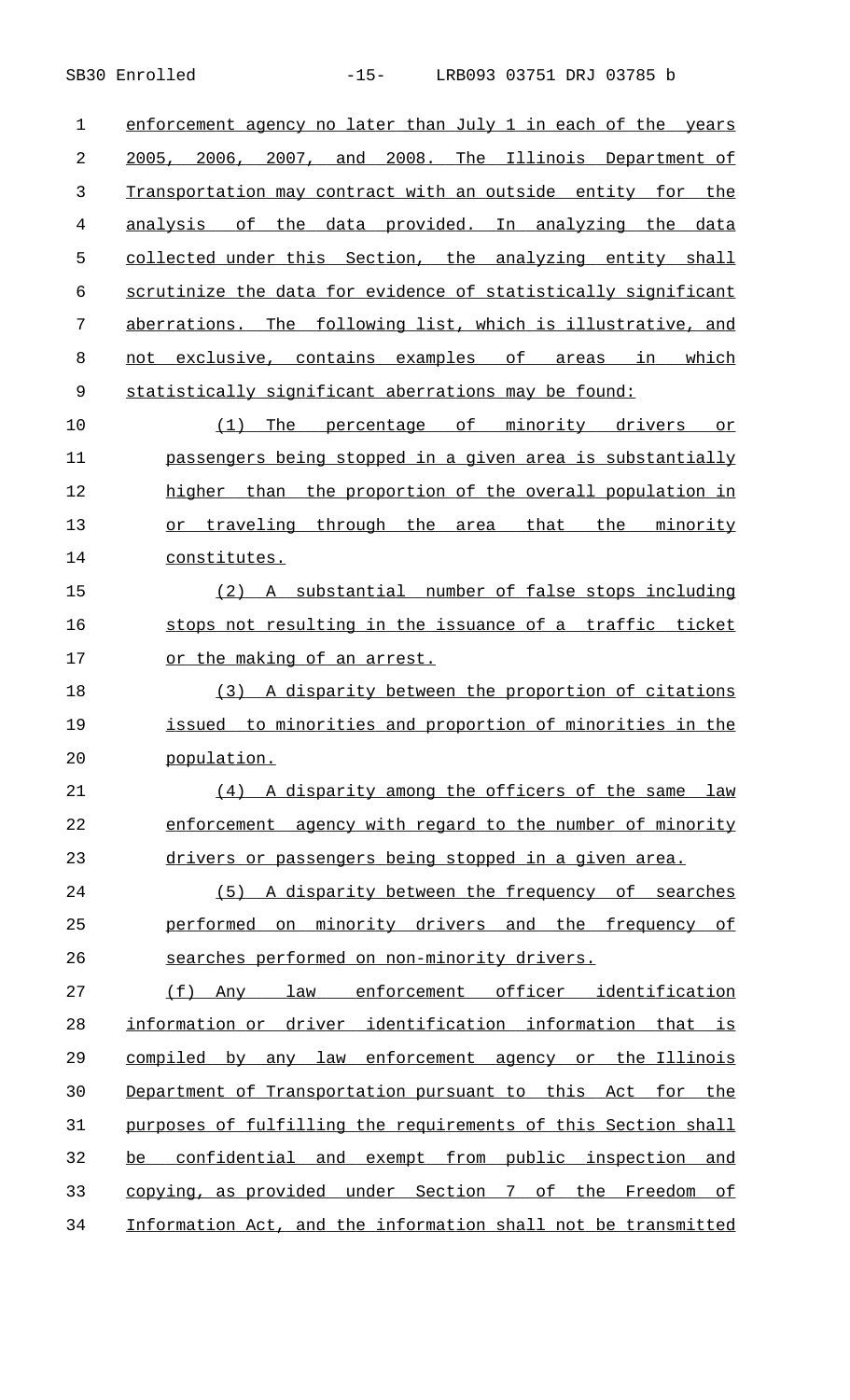1 enforcement agency no later than July 1 in each of the years 2 2005, 2006, 2007, and 2008. The Illinois Department of 3 Transportation may contract with an outside entity for the 4 analysis of the data provided. In analyzing the data 5 collected under this Section, the analyzing entity shall 6 scrutinize the data for evidence of statistically significant 7 aberrations. The following list, which is illustrative, and 8 not exclusive, contains examples of areas in which 9 statistically significant aberrations may be found:

10 (1) The percentage of minority drivers or 11 passengers being stopped in a given area is substantially 12 higher than the proportion of the overall population in 13 or traveling through the area that the minority 14 constitutes.

15 (2) A substantial number of false stops including 16 stops not resulting in the issuance of a traffic ticket 17 or the making of an arrest.

18 (3) A disparity between the proportion of citations 19 issued to minorities and proportion of minorities in the 20 population.

21 (4) A disparity among the officers of the same law 22 enforcement agency with regard to the number of minority 23 drivers or passengers being stopped in a given area.

24 (5) A disparity between the frequency of searches 25 performed on minority drivers and the frequency of 26 searches performed on non-minority drivers.

27 (f) Any law enforcement officer identification 28 information or driver identification information that is 29 compiled by any law enforcement agency or the Illinois 30 Department of Transportation pursuant to this Act for the 31 purposes of fulfilling the requirements of this Section shall 32 be confidential and exempt from public inspection and 33 copying, as provided under Section 7 of the Freedom of 34 Information Act, and the information shall not be transmitted